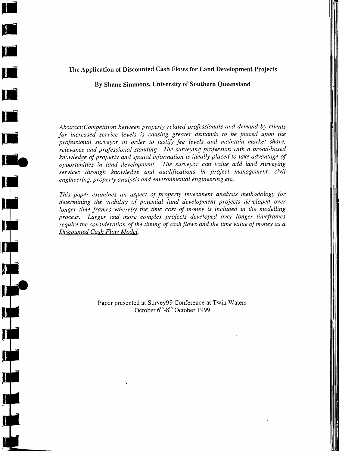# The Application of Discounted Cash Flows for Land Development Projects

I

By Shane Simmons, University of Southern Queensland

*Abstract:Competition between property related professionals and demand by clients for increased service levels is causing greater demands to be placed upon the*  professional surveyor in order to justify fee levels and maintain market share, *relevance and professional standing. The surveying profession with a broad-based knowledge of property and spatial information is ideally placed to take advantage of opportunities in land development. The surveyor can value add land surveying services through knowledge and qualifications in project management, civil engineering, property analysis and environmental engineering etc.* 

*This paper examines an aspect of property investment analysis methodology for determining the viability of potential land development projects developed over*  longer time frames whereby the time cost of money is included in the modelling *process. Larger and more complex projects developed over longer timeframes*  require the consideration of the timing of cash flows and the time value of money as a *Discounted Cash Flow Model.* 

> Paper presented at Survey99 Conference at Twin Waters October 6<sup>th</sup>-8<sup>th</sup> October 1999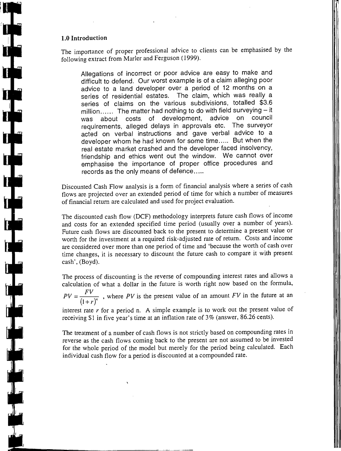### **1.0 Introduction**

 $\begin{bmatrix} 1 & 1 \\ 1 & 1 \end{bmatrix}$ 

The importance of proper professional advice to clients can be emphasised by the following extract from Marler and Ferguson (1999).

Allegations of incorrect or poor advice are easy to make and difficult to defend. Our worst example is of a claim alleging poor advice to a land developer over a period of 12 months on a series of residential estates. The claim, which was really a series of claims on the various subdivisions, totalled \$3.6 million...... The matter had nothing to do with field surveying - it was about costs of development, advice on council requirements, alleged delays in approvals etc. The surveyor acted on verbal instructions and gave verbal advice to a developer whom he had known for some time ..... But when the real estate market crashed and the developer faced insolvency, friendship and ethics went out the window. We cannot over emphasise the importance of proper office procedures and records as the only means of defence.....

Discounted Cash Flow analysis is a form of financial analysis where a series of cash flows are projected over an extended period of time for which a number of measures of financial return are calculated and used for project evaluation.

The discounted cash flow (DCF) methodology interprets future cash flows of income and costs for an extended specified time period (usually over a number of years). Future cash flows are discounted back to the present to determine a present value or worth for the investment at a required risk-adjusted rate of return. Costs and income are considered over more than one period of time and 'because the worth of cash over time changes, it is necessary to discount the future cash to compare it with present cash', (Boyd).

The process of discounting is the reverse of compounding interest rates and allows a calculation of what a dollar in the future is worth right now based on the formula,

 $PV = \frac{FV}{(1+r)^n}$ , where PV is the present value of an amount FV in the future at an

interest rate r for a period n. A simple example is to work out the present value of receiving \$1 in five year's time at an inflation rate of  $3\%$  (answer, 86.26 cents).

The treatment of a number of cash flows is not strictly based on compounding rates in reverse as the cash flows coming back to the present are not assumed to be invested for the whole period of the model but merely for the period being calculated. Each individual cash flow for a period is discounted at a compounded rate.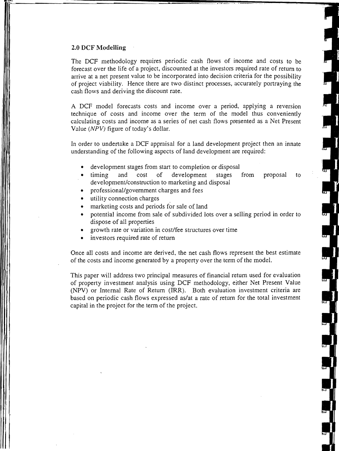### **2.0 DCF Modelling**

The DCF methodology requires periodic cash flows of income and costs to be forecast over the life of a project, discounted at the investors required rate of return to arrive at a net present value to be incorporated into decision criteria for the possibility of project viability. Hence there are two distinct processes, accurately portraying the cash flows and deriving the discount rate.

A DCF model forecasts costs and income over a period, applying a reversion technique of costs and income over the term of the model thus conveniently calculating costs and income as a series of net cash flows presented as a Net Present Value (NPV) figure of today's dollar.

In order to undertake a DCF appraisal for a land development project then an innate understanding of the following aspects of land development are required:

- development stages from start to completion or disposal
- timing and cost of development stages from proposal to development/construction to marketing and disposal
- professional/government charges and fees
- utility connection charges
- marketing costs and periods for sale of land
- potential income from sale of subdivided lots over a selling period in order to dispose of all properties
- growth rate or variation in cost/fee structures over time
- investors required rate of return

Once all costs and income are derived, the net cash flows represent the best estimate of the costs and income generated by a property over the term of the model.

This paper will address two principal measures of financial return used for evaluation of property investment analysis using DCF methodology, either Net Present Value (NPV) or Internal Rate of Return (IRR). Both evaluation investment criteria are based on periodic cash flows expressed aslat a rate of return for the total investment capital in the project for the term of the project.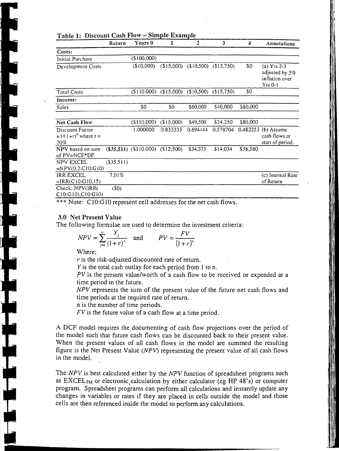|                                                     | Return        | Years 0                  |                | 2          | 3          | $\overline{\mathbf{4}}$ | Annotations                                                    |
|-----------------------------------------------------|---------------|--------------------------|----------------|------------|------------|-------------------------|----------------------------------------------------------------|
| Costs:                                              |               |                          |                |            |            |                         |                                                                |
| Initial Purchase                                    |               | (\$100,000)              |                |            |            |                         |                                                                |
| Development Costs                                   |               | (\$10,000)               | (S15,000)      | (\$10,500) | (\$15,750) | \$0                     | (a) $Yrs$ 2-3<br>adjusted by 5%<br>inflation over<br>$Yrs$ 0-1 |
| <b>Total Costs</b>                                  |               | (S110,000)               | (\$15,000)     | (\$10,500) | (\$15.750) | \$0                     |                                                                |
| Income:                                             |               |                          |                |            |            |                         |                                                                |
| Sales                                               |               | \$0                      | S <sub>0</sub> | \$60,000   | \$40,000   | \$80.000                |                                                                |
| <b>Net Cash Flow</b>                                |               | (\$110,000)              | (S15,000)      | \$49,500   | \$24,250   | \$80,000                |                                                                |
| Discount Factor<br>= $1/(1+r)^n$ where $r =$<br>20% |               | 1.000000                 | 0.833333       | 0.694444   | 0.578704   |                         | 0.482253 (b) Assume<br>cash flows at<br>start of period.       |
| NPV based on sum<br>of PV=NCF*DF                    |               | $($35,511)$ $($110,000)$ | (\$12,500)     | \$34,375   | \$14,034   | \$38,580                |                                                                |
| NPV EXCEL<br>$=NPV(0.2, C10; G10)$                  | $($ \$35,511) |                          |                |            |            |                         |                                                                |
| <b>IRR EXCEL</b><br>$=$ IRR(C10:G10,15)             | 7.01%         |                          |                |            |            |                         | (c) Internal Rate<br>of Return                                 |
| Check: NPV(IRR(<br>$C10:G10$ , $C10:G10$            | (50)          |                          |                |            |            |                         |                                                                |

\*\*\* Note: C10:G10 represent cell addresses for the net cash flows.

### 3.0 Net Present Value

The following formulae are used to determine the investment criteria:

$$
NPV = \sum_{j=1}^{n} \frac{Y_j}{(1+r)^n}
$$
 and  $PV = \frac{FV}{(1+r)^n}$ 

Where;

r is the risk-adjusted discounted rate of return.

*Y* is the total cash outlay for each period from I to n.

*PV* is the present value/worth of a cash flow to be received or expended at a time period in the future.

*NPV* represents the sum of the present value of the future net cash flows and time periods at the required rate of return.

n is the number of time periods. "

*FV* is the future value of a cash flow at a time period.

A DCF model requires the documenting of cash flow projections over the period of the model such that future cash flows can be discounted back to their present value. When the present values of all cash flows in the model are summed the resulting figure is the Net Present Value *(NPV)* representing the present value of all cash flows in the model.

The *NPV* is best calculated either by the *NPV* function of spreadsheet programs such as  $EXCELL<sub>TM</sub>$  or electronic calculation by either calculator (eg HP 48's) or computer program. Spreadsheet programs can perform all calculations and instantly update any changes in variables or rates if they are placed in cells outside the model and those cells are then referenced inside the model to perform any calculations.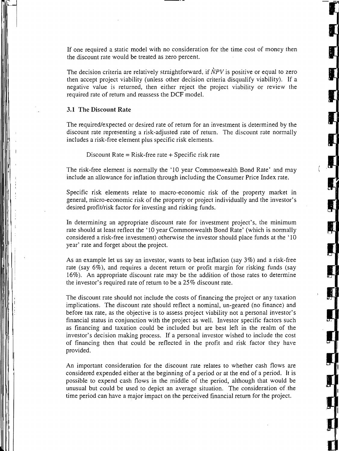If one required a static model with no consideration for the time cost of money then the discount rate would be treated as zero percent.

The decision criteria are relatively straightforward, if  $\dot{N}PV$  is positive or equal to zero then accept project viability (unless other decision criteria disqualify viability). If a negative value is returned, then either reject the project viability or review the required rate of return and reassess the DCF model.

### **3.1** The **Discount** Rate

 $\mathbf{r}$ 

,I

I

 $\overline{\phantom{a}}$ 

The required/expected or desired rate of return for an investment is determined by the discount rate representing a risk-adjusted rate of return. The discount rate normally includes a risk-free element plus specific risk elements.

Discount Rate =  $Risk-free$  rate + Specific risk rate

The risk-free element is normally the '10 year Commonwealth Bond Rate' and may include an allowance for inflation through including the Consumer Price Index rate.

Specific risk elements relate to macro-economic risk of the property market in general, micro-economic risk of the property or project individually and the investor's desired profit/risk factor for investing and risking funds.

In determining an appropriate discount rate for investment project's, the minimum rate should at least reflect the '10 year Commonwealth Bond Rate' (which is normally considered a risk-free investment) otherwise the investor should place funds at the' 10 year' rate and forget about the project.

As an example let us sayan investor, wants to beat inflation (say 3%) and a risk-free rate (say 6%), and requires a decent return or profit margin for risking funds (say 16%). An appropriate discount rate may be the addition of those rates to determine the investor's required rate of return to be a 25% discount rate.

The discount rate should not include the costs of financing the project or any taxation implications. The discount rate should reflect a nominal, un-geared (no finance) and before tax rate, as the objective is to assess project viability not a personal investor's financial status in conjunction with the project as well. Investor specific factors such as financing and taxation could be included but are best left in the realm of the investor's decision making process. If a personal investor wished to include the cost of financing then that could be reflected in the profit and risk factor they have provided.

An important consideration for the discount rate relates to whether cash flows are considered expended either at the beginning of a period or at the end of a period. It is possible to expend cash flows in the middle of the period, although that would be unusual but could be used to depict an average situation. The consideration of .the time period can have a major impact on the perceived financial return for the project.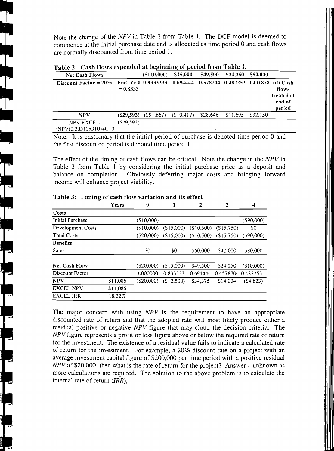Note the change of the *NPV* in Table 2 from Table 1. The DCF model is deemed to commence at the initial purchase date and is allocated as time period 0 and cash flows are normally discounted from time period 1.

! II

I

III

111 **111** 

| <b>Net Cash Flows</b>                       |            | $($ \$110,000)          | \$15,000                                             | \$49,500 | \$24,250          | \$80,000 |                                         |
|---------------------------------------------|------------|-------------------------|------------------------------------------------------|----------|-------------------|----------|-----------------------------------------|
| Discount Factor = $20\%$ End Yr 0 0.8333333 | $= 0.8333$ |                         | $0.694444$ $0.578704$ $0.482253$ $0.401878$ (d) Cash |          |                   |          | flows<br>treated at<br>end of<br>period |
| <b>NPV</b>                                  | (S29.593)  | $(S91.667)$ $(S10.417)$ |                                                      | \$28,646 | \$11.695 \$32.150 |          |                                         |
| NPV EXCEL<br>$= NPV(0.2.D10:GI0)+Cl0$       | (S29.593)  |                         |                                                      |          |                   |          |                                         |

Table 2: Cash flows expended at beginning of period from Table 1.

Note: It is customary that the initial period of purchase is denoted time period 0 and the first discounted period is denoted time period 1.

The effect of the timing of cash flows can be critical. Note the change in the *NPV* in Table 3 from Table 1 by considering' the initial purchase price as a deposit and balance on completion. Obviously deferring major costs and bringing forward income will enhance project viability.

|                      | Years    | 0             |            | 2          | 3          | 4             |
|----------------------|----------|---------------|------------|------------|------------|---------------|
| Costs                |          |               |            |            |            |               |
| Initial Purchase     |          | (\$10,000)    |            |            |            | $($ \$90,000) |
| Development Costs    |          | (\$10,000)    | (\$15,000) | (S10,500)  | (S15,750)  | \$0           |
| <b>Total Costs</b>   |          | $($ \$20,000) | (\$15,000) | (\$10,500) | (\$15,750) | (\$90,000)    |
| <b>Benefits</b>      |          |               |            |            |            |               |
| <b>Sales</b>         |          | \$0           | \$0        | \$60,000   | \$40,000   | \$80,000      |
|                      |          |               |            |            |            |               |
| <b>Net Cash Flow</b> |          | $($ \$20,000) | (\$15,000) | \$49,500   | \$24,250   | (\$10,000)    |
| Discount Factor      |          | 1.000000      | 0.833333   | 0.694444   | 0.4578704  | 0.482253      |
| <b>NPV</b>           | \$11,086 | ( \$20,000)   | (S12,500)  | \$34,375   | \$14,034   | (S4, 823)     |
| <b>EXCEL NPV</b>     | \$11,086 |               |            |            |            |               |
| <b>EXCEL IRR</b>     | 18.32%   |               |            |            |            |               |

#### Table 3: Timing of cash flow variation and its effect

The major concern with using *NPV* is the requirement to have an appropriate discounted rate of return and that the adopted rate will most likely produce either a residual positive or negative *NPV* figure that may cloud the decision criteria. The *NPV* figure represents a profit or loss figure above or below the required rate of return for the investment. The existence of a residual value fails to indicate a calculated rate of return for the investment. For example, a 20% discount rate on a project with an average investment capital figure of \$200,000 per time period with a positive residual *NPV* of \$20,000, then what is the rate of return for the project? Answer – unknown as more calculations are required. The solution to the above problem is to calculate the internal rate of return *(IRR)*.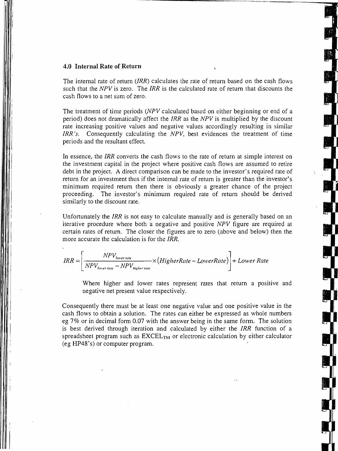### **4.0 Internal Rate of Return**

 $\mathbf{I}$  .

The internal rate of return *(IRR)* calculates the rate of return based on the cash flows such that the *NPV* is zero. The *IRR* is the calculated rate of return that discounts the cash flows to a net sum of zero.

The treatment of time periods *(NPV* calculated based on either beginning or end of a period) does not dramatically affect the *IRR* as the *NPV* is multiplied by the discount rate increasing positive values and negative values accordingly resulting in similar *IRR's.* Consequently calculating the *NPV,* best evidences the treatment of time periods and the resultant effect.

In essence, the *IRR* converts the cash flows to the rate of return at simple interest on the investment capital in the project where positive cash flows are assumed to retire debt in the project. A direct comparison can be made to the investor's required rate of return for an investment thus if the internal rate of return is greater than the investor's minimum required return then there is obviously a greater chance of the project proceeding. The investor's minimum required rate of return should be derived similarly to the discount rate.

Unfortunately the *IRR* is not easy to calculate manually and is generally based on an iterative procedure where both a negative and positive *NPV* figure are required at certain rates of return. The closer the figures are to zero (above and below) then the more accurate the calculation is for the *IRR.* 

$$
IRR = \left[\frac{NPV_{lower\ rate}}{NPV_{lower\ rate} - NPV_{higher\ rate}} \times (HigherRate - LowerRate)\right] + LowerRate
$$

Where higher and lower rates represent rates that return a positive and negative net present value respectively.

Consequently there must be at least one negative value and one positive value in the cash flows to obtain a solution. The rates can either be expressed as whole numbers eg 7% or in decimal form 0.07 with the answer being in the same form. The solution is best derived through iteration and calculated by either the *IRR* function of a spreadsheet program such as  $EXCEL<sub>TM</sub>$  or electronic calculation by either calculator (eg HP48's) or computer program.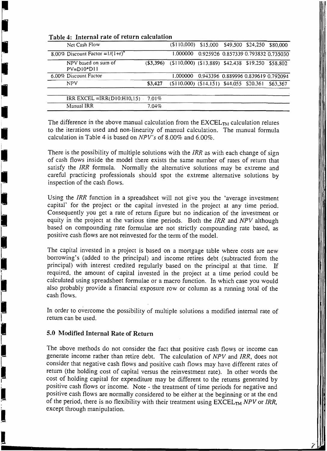| جے | Net Cash Flow                                                                                                                                                                                                                                                                                                                                                               |            | $(110,000)$ \$15,000 \$49,500 \$24,250 \$80,000        |  |                                     |
|----|-----------------------------------------------------------------------------------------------------------------------------------------------------------------------------------------------------------------------------------------------------------------------------------------------------------------------------------------------------------------------------|------------|--------------------------------------------------------|--|-------------------------------------|
|    | 8.00% Discount Factor = $1/(1+r)^n$                                                                                                                                                                                                                                                                                                                                         |            | 1.000000                                               |  | 0.925926 0.857339 0.793832 0.735030 |
|    | NPV based on sum of<br>$PV=D10*D11$                                                                                                                                                                                                                                                                                                                                         | ( \$3,396) | $(S110,000)$ $(S13,889)$ $S42,438$ $S19,250$ $S58,802$ |  |                                     |
|    | 6.00% Discount Factor                                                                                                                                                                                                                                                                                                                                                       |            | 1.000000                                               |  | 0.943396 0.889996 0.839619 0.792094 |
| Ű  | <b>NPV</b>                                                                                                                                                                                                                                                                                                                                                                  | \$3,427    | $(S110.000)$ $(S14.151)$ \$44.055 \$20,361 \$63,367    |  |                                     |
|    | IRR EXCEL = IRR(D10:H10,15) $-7.01\%$                                                                                                                                                                                                                                                                                                                                       |            |                                                        |  |                                     |
|    | Manual IRR                                                                                                                                                                                                                                                                                                                                                                  | $7.04\%$   |                                                        |  |                                     |
|    |                                                                                                                                                                                                                                                                                                                                                                             |            |                                                        |  |                                     |
|    | $\mathbf{T}^{\mathbf{t}}$ , $\mathbf{A}^{\mathbf{t}}$ , $\mathbf{A}^{\mathbf{t}}$ , $\mathbf{A}^{\mathbf{t}}$ , $\mathbf{A}^{\mathbf{t}}$ , $\mathbf{A}^{\mathbf{t}}$ , $\mathbf{A}^{\mathbf{t}}$ , $\mathbf{A}^{\mathbf{t}}$ , $\mathbf{A}^{\mathbf{t}}$ , $\mathbf{A}^{\mathbf{t}}$ , $\mathbf{A}^{\mathbf{t}}$ , $\mathbf{A}^{\mathbf{t}}$ , $\mathbf{A}^{\mathbf{t}}$ , |            |                                                        |  |                                     |

### Table 4: Internal rate of return calculation

I

İ

**Extra de la propriété** 

The difference in the above manual calculation from the  $\text{EXCEL}_{\text{TM}}$  calculation relates to the iterations used and non-linearity of manual calculation. The manual formula calculation in Table 4is based on *NPV's* of 8.00% and 6.00%.

There is the possibility of multiple solutions with the *lRR* as with each change of sign of cash flows inside the model there exists the same number of rates of return that satisfy the *lRR* formula. Normally the alternative solutions may be extreme and careful practicing professionals should spot the extreme alternative solutions by inspection of the cash flows.

Using the *lRR* function in a spreadsheet will not give you the 'average investment capital' for the project or the capital invested in the project at any time period. Consequently you get a rate of return figure but no indication of the investment or equity in the project at the various time periods. Both the *lRR* and *NPV* although based on compounding rate formulae are not strictly compounding rate based, as positive cash flows are not reinvested for the term of the model.

The capital invested in a project is based on a mortgage table where costs are new borrowing's (added to the principal) and income retires debt (subtracted from the principal) with interest credited regularly based on the principal at that time. If required, the amount of capital invested in the project at a time period could be calculated using spreadsheet formulae or a macro function. In which case you would also probably provide a financial exposure row or column as a running total of the cash flows.

In order to overcome the possibility of multiple solutions a modified internal rate of return can be used.

## 5.0 Modified Internal Rate of Return

The above methods do not consider the fact that positive cash flows or income can generate income rather than retire debt. The calculation of *NPV* and *lRR,* does not consider that negative cash flows and positive cash flows may have different rates of return (the holding cost of capital versus the reinvestment rate). In other words the cost of holding capital for expenditure may be different to the returns generated by positive cash flows or income: Note - the treatment of time periods for negative and positive cash flows are normally considered to be either at the beginning or at the end of the period, there is no flexibility with their treatment using  $\text{EXCEL}_{\text{TM}}$  NPV or IRR, except through manipulation.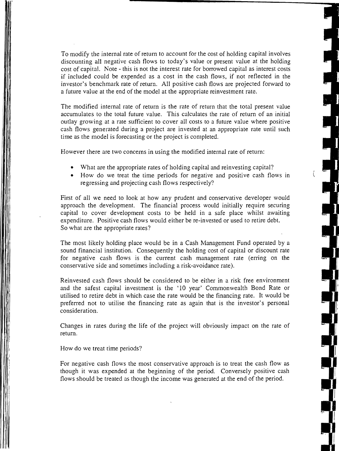To modify the internal rate of return to account for the cost of holding capital involves discounting all negative cash flows to today's value or present value at the holding cost of capital. Note - this is not the interest rate for borrowed capital as interest costs if included could be expended as a cost in the cash flows, if not reflected in the investor's benchmark rate of return. All positive cash flows are projected forward to a future value at the end of the model at the appropriate reinvestment rate.

The modified internal rate of return is the rate of return that the total present value accumulates to the total future value. This calculates the rate of return of an initial outlay growing at a rate sufficient to cover all costs to a future value where positive cash flows generated during a project are invested at an appropriate rate until such time as the model is forecasting or the project is completed.

However there are two concerns in using the modified internal rate of return:

- What are the appropriate rates of holding capital and reinvesting capital?
- How do we treat the time periods for negative and positive cash flows in regressing and projecting cash flows respectively?

First of all we need to look at how any prudent and conservative developer would approach the development. The financial process would initially require securing capital to cover development costs to be held in a safe place whilst awaiting expenditure. Positive cash flows would either be re-invested or used to retire debt. So what are the appropriate rates?

The most likely holding place would be in a Cash Management Fund operated by a sound financial institution. Consequently the holding cost of capital or discount rate for negative cash flows is the current cash management rate (erring on the conservative side and sometimes including a risk-avoidance rate).

Reinvested cash flows should be considered to be either in a risk free environment and the safest capital investment is the '10 year' Commonwealth Bond Rate or utilised to retire debt in which case the rate would be the financing rate. It would be preferred not to utilise the financing rate as again that is the investor's personal consideration.

Changes in rates during the life of the project will obviously impact on the rate of return.

How do we treat time periods?

For negative cash flows the most conservative approach is to treat the cash flow as though it was expended at the beginning of the period. Conversely positive cash flows should be treated as though the income was generated at the end of the period.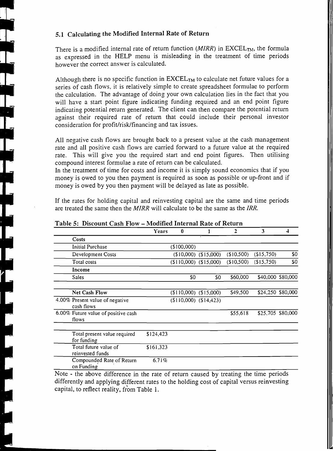# 5.1 Calculating the Modified Internal Rate of Return

 $\prod_{i=1}^n$ 

There is a modified internal rate of return function *(MIRR)* in EXCEL<sub>TM</sub>, the formula as expressed in the HELP menu is misleading in the treatment of time periods however the correct answer is calculated.

Although there is no specific function in  $EXCEL<sub>TM</sub>$  to calculate net future values for a series of cash flows, it is relatively simple to create spreadsheet formulae to perform the calculation. The advantage of doing your own calculation lies in the fact that you will have a start point figure indicating funding required and an end point figure indicating potential return generated. The client can then compare the potential return against their required rate of return that could include their personal investor consideration for profit/risk/financing and tax issues.

All negative cash flows are brought back to a present value at the cash management rate and all positive cash flows are carried forward to a future value at the required rate. This will give you the required start and end point figures. Then utilising compound interest formulae a rate of return can be calculated.

In the treatment of time for costs and income it is simply sound economics that if you money is owed to you then payment is required as soon as possible or up-front and if money is owed by you then payment will be delayed as late as possible.

If the rates for holding capital and reinvesting capital are the same and time periods are treated the same then the *MIRR* will calculate to be the same as the *IRR.* 

|                                               | Years     | 0                       |                       | 2              | 3           | 4                 |
|-----------------------------------------------|-----------|-------------------------|-----------------------|----------------|-------------|-------------------|
| Costs                                         |           |                         |                       |                |             |                   |
| Initial Purchase                              |           | (\$100,000)             |                       |                |             |                   |
| Development Costs                             |           |                         | $(10,000)$ $(15,000)$ | (510,500)      | (\$15,750)  | \$0               |
| Total costs                                   |           | $(110,000)$ $(15,000)$  |                       | (\$10,500)     | (\$15,750)  | \$0               |
| Income                                        |           |                         |                       |                |             |                   |
| Sales                                         |           | \$0                     | \$0                   | \$60,000       |             | \$40,000 \$80,000 |
| <b>Net Cash Flow</b>                          |           | $(110,000)$ $(15,000)$  |                       | \$49,500       |             | \$24,250 \$80,000 |
| 4.00% Present value of negative<br>cash flows |           | $($110,000)$ $$14,423)$ |                       |                |             |                   |
| 6.00% Future value of positive cash<br>flows  |           |                         |                       | \$55,618       |             | \$25,705 \$80,000 |
|                                               |           |                         |                       |                |             |                   |
| Total present value required<br>for funding   | \$124,423 |                         |                       |                |             |                   |
| Total future value of<br>reinvested funds     | \$161,323 |                         |                       |                |             |                   |
| Compounded Rate of Return<br>on Funding       | 6.71%     |                         |                       |                |             |                   |
| <b>A T</b><br>                                |           | $\sim$                  | . .                   | $\blacksquare$ | $\sim$ 0.11 |                   |

## Table 5: Discount Cash Flow - Modified Internal Rate of Return

Note - the above difference in the rate of return caused by treating the time periods differently and applying different rates to the holding cost of capital versus reinvesting capital, to reflect reality, from Table 1.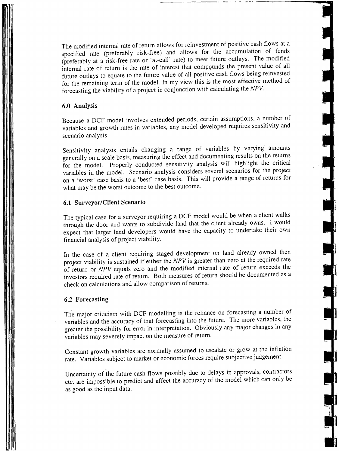The modified internal rate of return allows for reinvestment of positive cash flows at a specified rate (preferably risk-free) and allows for the accumulation of funds (preferably at a risk-free rate or 'at-call' rate) to meet future outlays. The modified internal rate of return is the rate of interest that compounds the present value of all future outlays to equate to the future value of all positive cash flows being reinvested for the remaining term of the model. In my view this is the most effective method of forecasting the viability of a project in conjunction with calculating the NPV.

**-**

# 6.0 Analysis

Because a DCF model involves extended periods, certain assumptions, a number of variables and growth rates in variables, any model developed requires sensitivity and scenario analysis.

Sensitivity analysis entails changing a range of variables by varying amounts generally on a scale basis, measuring the effect and documenting results on the returns for the model. Properly conducted sensitivity analysis will highlight the critical variables in the model. Scenario analysis considers several scenarios for the project on a 'worst' case basis to a 'best' case basis, This will provide a range of returns for what may be the worst outcome to the best outcome.

### 6.1 Surveyor/Client Scenario

The typical case for a surveyor requiring a DCF model would be when a client walks through the door and wants to subdivide land that the client already owns. I would expect that larger land developers would have the capacity to undertake their own financial analysis of project viability.

In the case of a client requiring staged development on land already owned then project viability is sustained if either the NPV is greater than zero at the required rate of return or  $\overline{NPV}$  equals zero and the modified internal rate of return exceeds the investors required rate of return. Both measures of return should be documented as a check on calculations and allow comparison of returns.

### 6.2 Forecasting

The major criticism with DCF modelling is the reliance on forecasting a number of variables and the accuracy of that forecasting into the future. The more variables, the greater the possibility for error in interpretation. Obviously any major changes in any variables may severely impact on the measure of return.

Constant growth variables are normally assumed to escalate or grow at the inflation rate. Variables subject to market or economic forces require subjective judgement.

Uncertainty of the future cash flows possibly due to delays in approvals, contractors etc. are impossible to predict and affect the accuracy of the model which can only be as good as the input data.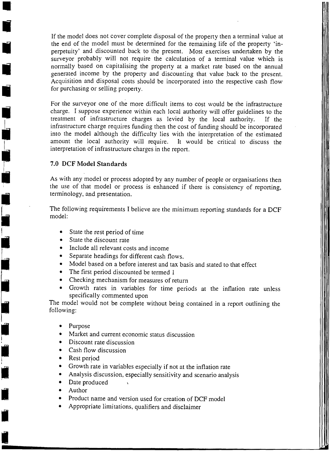If the model does not cover complete disposal of the property then a terminal value at the end of the model must be determined for the remaining life of the property 'inperpetuity' and discounted back to the present. Most exercises undertaken by the surveyor probably will not require the calculation of a terminal value which is normally based on capitalising the property at a market rate based on the annual generated income by the property and discounting that value back to the present. Acquisition and disposal costs should be incorporated into the respective cash flow for purchasing or selling property.

For the surveyor one of the more difficult items to cost would be the infrastructure charge. I suppose experience within each local authority will offer guidelines to the treatment of infrastructure charges as levied by the local authority. If the infrastructure charge requires funding then the cost of funding should be incorporated into the model although the difficulty lies with the interpretation of the estimated amount the local authority will require. It would be critical to discuss the interpretation of infrastructure charges in the report.

## 7.0 DCF Model Standards

As with any model or process adopted by any number of people or organisations then the use of that model or process is enhanced if there is consistency of reporting, terminology, and presentation.

The following requirements I believe are the minimum reporting standards for a DCF model:

- State the rest period of time
- State the discount rate
- Include all relevant costs and income
- Separate headings for different cash flows.
- Model based on a before interest and tax basis and stated to that effect
- The first period discounted be termed 1
- Checking mechanism for measures of return
- Growth rates in variables for time periods at the inflation rate unless specifically commented upon

The model would not be complete without being contained in a report outlining the following:

- 
- Purpose<br>• Market and current economic status discussion
- $\bullet$  Discount rate discussion
- Cash flow discussion
- Rest period
- Growth rate in variables especially if not at the inflation rate
- Analysis discussion, especially sensitivity and scenario analysis
- Date produced
- 

I

, I

**ID** 

-<br>-<br>- 9

**I** 

L

II'

I

I

I

,

•

•

•

- Author<br>Product name and version used for creation of DCF model
- Appropriate limitations, qualifiers and disclaimer